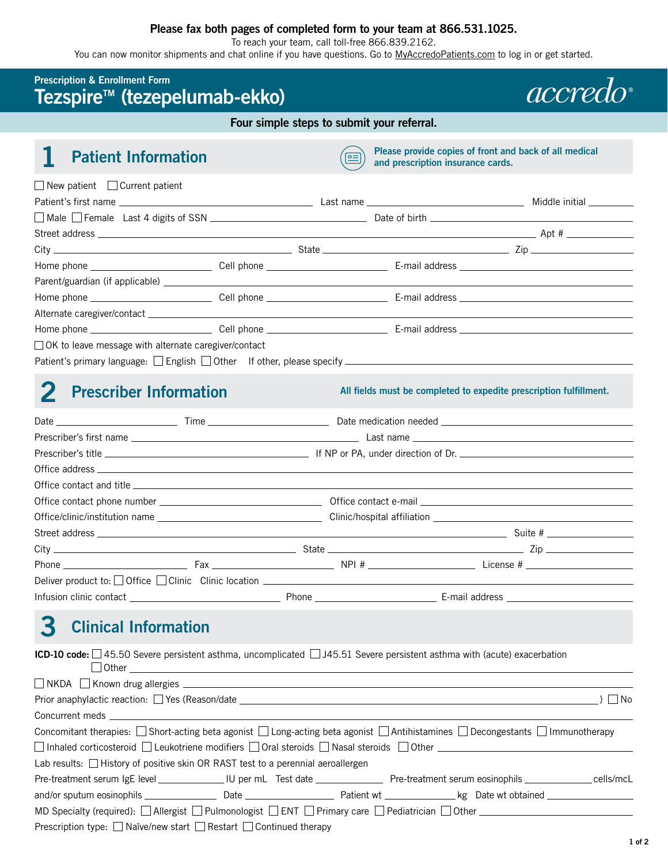## **Please fax both pages of completed form to your team at 866.531.1025.**

To reach your team, call toll-free 866.839.2162.

You can now monitor shipments and chat online if you have questions. Go to [MyAccredoPatients.com](https://MyAccredoPatients.com) to log in or get started.

## **Prescription & Enrollment Form**  Tezspire<sup>™</sup> (tezepelumab-ekko)

**Four simple steps to submit your referral.** 

**1** Patient Information **Please provide copies of front and back of all medical and prescription insurance cards.** 

*accredo* 

| $\Box$ New patient $\Box$ Current patient                                                                                                                 |  |                |
|-----------------------------------------------------------------------------------------------------------------------------------------------------------|--|----------------|
|                                                                                                                                                           |  | Middle initial |
|                                                                                                                                                           |  |                |
|                                                                                                                                                           |  |                |
| $City$ $\qquad \qquad \Box$ $\qquad \qquad \Box$ $\qquad \qquad \Box$ $\qquad \qquad \Box$ $\qquad \qquad \Box$ $\qquad \qquad \Box$ $\qquad \qquad \Box$ |  |                |
|                                                                                                                                                           |  |                |
|                                                                                                                                                           |  |                |
|                                                                                                                                                           |  |                |
|                                                                                                                                                           |  |                |
|                                                                                                                                                           |  |                |
| □ OK to leave message with alternate caregiver/contact                                                                                                    |  |                |
|                                                                                                                                                           |  |                |

**2 Prescriber Information** *All fields must be completed to expedite prescription fulfillment.* 

| $City$ $\qquad \qquad \blacksquare$ $Zip$ $\qquad \qquad \blacksquare$ $Zip$ $\qquad \qquad \blacksquare$                     |  |  |  |  |  |
|-------------------------------------------------------------------------------------------------------------------------------|--|--|--|--|--|
| Phone $\qquad \qquad$ $\qquad \qquad$ Fax $\qquad \qquad$ Fax $\qquad \qquad$ NPI # $\qquad \qquad$ License # $\qquad \qquad$ |  |  |  |  |  |
| Deliver product to: Office Clinic Clinic location ______________________________                                              |  |  |  |  |  |
|                                                                                                                               |  |  |  |  |  |

# **3 Clinical Information**

**ICD-10 code:** □45.50 Severe persistent asthma, uncomplicated □J45.51 Severe persistent asthma with (acute) exacerbation  $\Box$  Other

| $\Box$ $\lor$ $\Box$ $\lor$ $\Box$ $\lor$ $\Box$ $\lor$ $\Box$ $\lor$ $\Box$ $\lor$ $\Box$ $\lor$ $\Box$ $\lor$ $\Box$ $\lor$ $\Box$ $\lor$ $\Box$ $\lor$ $\Box$ $\lor$ $\Box$ $\lor$ $\Box$ $\lor$ $\Box$ $\lor$ $\Box$ $\lor$ $\Box$ $\lor$ $\Box$ $\lor$ $\Box$ $\lor$ $\Box$ $\lor$ $\Box$ $\lor$ $\Box$ $\Box$ |  |          |
|---------------------------------------------------------------------------------------------------------------------------------------------------------------------------------------------------------------------------------------------------------------------------------------------------------------------|--|----------|
|                                                                                                                                                                                                                                                                                                                     |  |          |
| Prior anaphylactic reaction: Ves (Reason/date ___________________________________                                                                                                                                                                                                                                   |  | $)$   No |
|                                                                                                                                                                                                                                                                                                                     |  |          |
| Concomitant therapies: $\Box$ Short-acting beta agonist $\Box$ Long-acting beta agonist $\Box$ Antihistamines $\Box$ Decongestants $\Box$ Immunotherapy                                                                                                                                                             |  |          |
| $\Box$ Inhaled corticosteroid $\Box$ Leukotriene modifiers $\Box$ Oral steroids $\Box$ Nasal steroids $\Box$ Other $\Box$                                                                                                                                                                                           |  |          |
| Lab results: $\Box$ History of positive skin OR RAST test to a perennial aeroallergen                                                                                                                                                                                                                               |  |          |
| Pre-treatment serum IgE level ______________ IU per mL Test date ________________ Pre-treatment serum eosinophils _______________ cells/mcL                                                                                                                                                                         |  |          |
|                                                                                                                                                                                                                                                                                                                     |  |          |
| MD Specialty (required): $\Box$ Allergist $\Box$ Pulmonologist $\Box$ ENT $\Box$ Primary care $\Box$ Pediatrician $\Box$ Other $\Box$                                                                                                                                                                               |  |          |
| Prescription type: $\Box$ Naïve/new start $\Box$ Restart $\Box$ Continued therapy                                                                                                                                                                                                                                   |  |          |